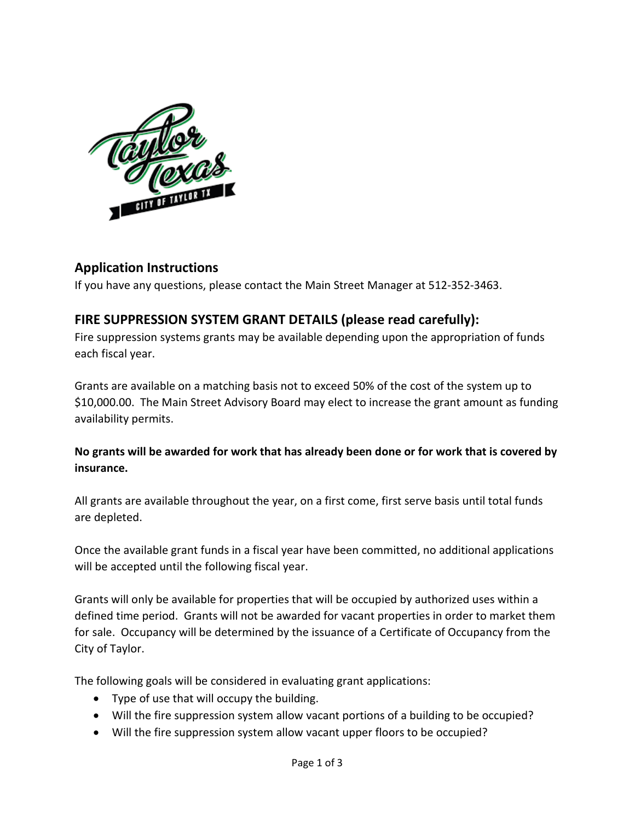

## **Application Instructions**

If you have any questions, please contact the Main Street Manager at 512-352-3463.

## **FIRE SUPPRESSION SYSTEM GRANT DETAILS (please read carefully):**

Fire suppression systems grants may be available depending upon the appropriation of funds each fiscal year.

Grants are available on a matching basis not to exceed 50% of the cost of the system up to \$10,000.00. The Main Street Advisory Board may elect to increase the grant amount as funding availability permits.

## **No grants will be awarded for work that has already been done or for work that is covered by insurance.**

All grants are available throughout the year, on a first come, first serve basis until total funds are depleted.

Once the available grant funds in a fiscal year have been committed, no additional applications will be accepted until the following fiscal year.

Grants will only be available for properties that will be occupied by authorized uses within a defined time period. Grants will not be awarded for vacant properties in order to market them for sale. Occupancy will be determined by the issuance of a Certificate of Occupancy from the City of Taylor.

The following goals will be considered in evaluating grant applications:

- Type of use that will occupy the building.
- Will the fire suppression system allow vacant portions of a building to be occupied?
- Will the fire suppression system allow vacant upper floors to be occupied?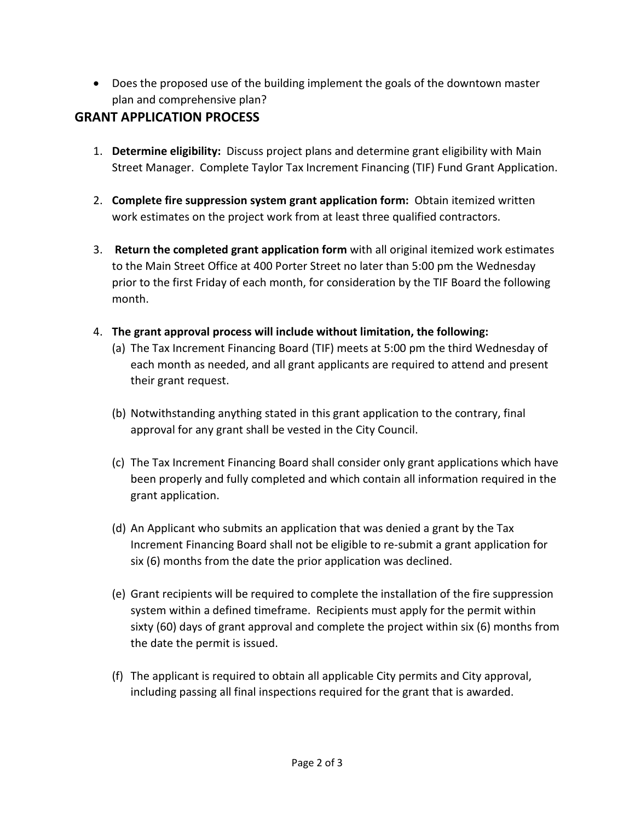• Does the proposed use of the building implement the goals of the downtown master plan and comprehensive plan?

## **GRANT APPLICATION PROCESS**

- 1. **Determine eligibility:** Discuss project plans and determine grant eligibility with Main Street Manager. Complete Taylor Tax Increment Financing (TIF) Fund Grant Application.
- 2. **Complete fire suppression system grant application form:** Obtain itemized written work estimates on the project work from at least three qualified contractors.
- 3. **Return the completed grant application form** with all original itemized work estimates to the Main Street Office at 400 Porter Street no later than 5:00 pm the Wednesday prior to the first Friday of each month, for consideration by the TIF Board the following month.
- 4. **The grant approval process will include without limitation, the following:**
	- (a) The Tax Increment Financing Board (TIF) meets at 5:00 pm the third Wednesday of each month as needed, and all grant applicants are required to attend and present their grant request.
	- (b) Notwithstanding anything stated in this grant application to the contrary, final approval for any grant shall be vested in the City Council.
	- (c) The Tax Increment Financing Board shall consider only grant applications which have been properly and fully completed and which contain all information required in the grant application.
	- (d) An Applicant who submits an application that was denied a grant by the Tax Increment Financing Board shall not be eligible to re-submit a grant application for six (6) months from the date the prior application was declined.
	- (e) Grant recipients will be required to complete the installation of the fire suppression system within a defined timeframe. Recipients must apply for the permit within sixty (60) days of grant approval and complete the project within six (6) months from the date the permit is issued.
	- (f) The applicant is required to obtain all applicable City permits and City approval, including passing all final inspections required for the grant that is awarded.